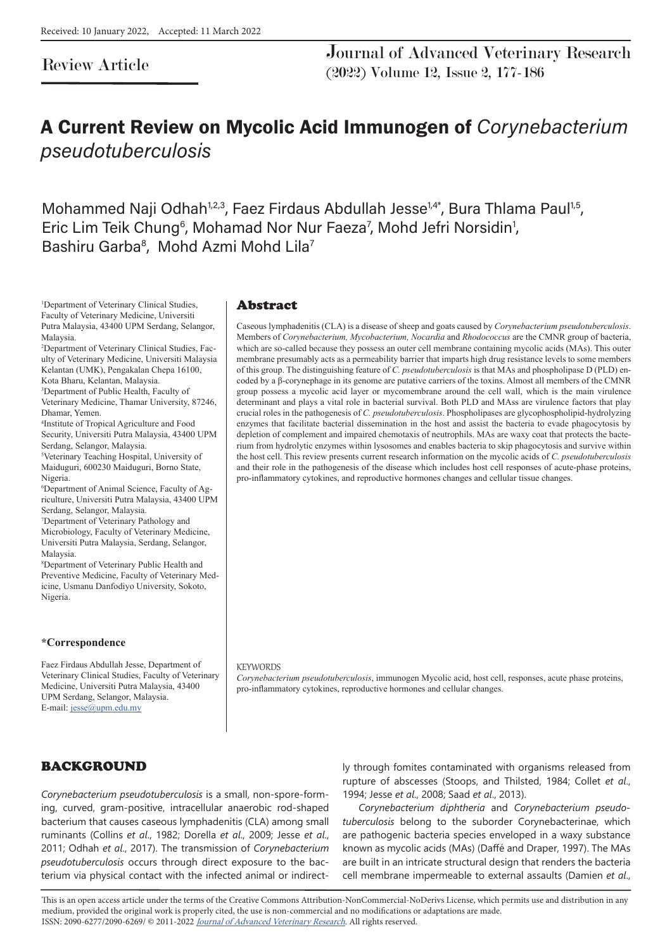# Review Article

Journal of Advanced Veterinary Research (2022) Volume 12, Issue 2, 177-186

# A Current Review on Mycolic Acid Immunogen of Corynebacterium pseudotuberculosis

Mohammed Naji Odhah<sup>1,2,3</sup>, Faez Firdaus Abdullah Jesse<sup>1,4\*</sup>, Bura Thlama Paul<sup>1,5</sup>, Eric Lim Teik Chung<sup>6</sup>, Mohamad Nor Nur Faeza<sup>7</sup>, Mohd Jefri Norsidin<sup>1</sup>, Bashiru Garba<sup>8</sup>, Mohd Azmi Mohd Lila<sup>7</sup>

1 Department of Veterinary Clinical Studies, Faculty of Veterinary Medicine, Universiti Putra Malaysia, 43400 UPM Serdang, Selangor, Malaysia.

2 Department of Veterinary Clinical Studies, Faculty of Veterinary Medicine, Universiti Malaysia Kelantan (UMK), Pengakalan Chepa 16100,

Kota Bharu, Kelantan, Malaysia.

3 Department of Public Health, Faculty of Veterinary Medicine, Thamar University, 87246, Dhamar, Yemen.

4 Institute of Tropical Agriculture and Food Security, Universiti Putra Malaysia, 43400 UPM Serdang, Selangor, Malaysia.

5 Veterinary Teaching Hospital, University of Maiduguri, 600230 Maiduguri, Borno State, Nigeria.

6 Department of Animal Science, Faculty of Agriculture, Universiti Putra Malaysia, 43400 UPM Serdang, Selangor, Malaysia.

7 Department of Veterinary Pathology and Microbiology, Faculty of Veterinary Medicine, Universiti Putra Malaysia, Serdang, Selangor, Malaysia.

8 Department of Veterinary Public Health and Preventive Medicine, Faculty of Veterinary Medicine, Usmanu Danfodiyo University, Sokoto, Nigeria.

#### **\*Correspondence**

Faez Firdaus Abdullah Jesse, Department of Veterinary Clinical Studies, Faculty of Veterinary Medicine, Universiti Putra Malaysia, 43400 UPM Serdang, Selangor, Malaysia. E-mail: jesse@upm.edu.my

#### Abstract

Caseous lymphadenitis (CLA) is a disease of sheep and goats caused by *Corynebacterium pseudotuberculosis*. Members of *Corynebacterium, Mycobacterium, Nocardia* and *Rhodococcus* are the CMNR group of bacteria, which are so-called because they possess an outer cell membrane containing mycolic acids (MAs). This outer membrane presumably acts as a permeability barrier that imparts high drug resistance levels to some members of this group. The distinguishing feature of *C. pseudotuberculosis* is that MAs and phospholipase D (PLD) encoded by a β-corynephage in its genome are putative carriers of the toxins. Almost all members of the CMNR group possess a mycolic acid layer or mycomembrane around the cell wall, which is the main virulence determinant and plays a vital role in bacterial survival. Both PLD and MAss are virulence factors that play crucial roles in the pathogenesis of *C. pseudotuberculosis*. Phospholipases are glycophospholipid-hydrolyzing enzymes that facilitate bacterial dissemination in the host and assist the bacteria to evade phagocytosis by depletion of complement and impaired chemotaxis of neutrophils. MAs are waxy coat that protects the bacterium from hydrolytic enzymes within lysosomes and enables bacteria to skip phagocytosis and survive within the host cell. This review presents current research information on the mycolic acids of *C. pseudotuberculosis* and their role in the pathogenesis of the disease which includes host cell responses of acute-phase proteins, pro-inflammatory cytokines, and reproductive hormones changes and cellular tissue changes.

#### **KEYWORDS**

*Corynebacterium pseudotuberculosis*, immunogen Mycolic acid, host cell, responses, acute phase proteins, pro-inflammatory cytokines, reproductive hormones and cellular changes.

# BACKGROUND

*Corynebacterium pseudotuberculosis* is a small, non-spore-forming, curved, gram-positive, intracellular anaerobic rod-shaped bacterium that causes caseous lymphadenitis (CLA) among small ruminants (Collins *et al*., 1982; Dorella *et al*., 2009; Jesse *et al*., 2011; Odhah *et al*., 2017). The transmission of *Corynebacterium pseudotuberculosis* occurs through direct exposure to the bacterium via physical contact with the infected animal or indirectly through fomites contaminated with organisms released from rupture of abscesses (Stoops, and Thilsted, 1984; Collet *et al*., 1994; Jesse *et al*., 2008; Saad *et al*., 2013).

*Corynebacterium diphtheria* and *Corynebacterium pseudotuberculosis* belong to the suborder Corynebacterinae, which are pathogenic bacteria species enveloped in a waxy substance known as mycolic acids (MAs) (Daffé and Draper, 1997). The MAs are built in an intricate structural design that renders the bacteria cell membrane impermeable to external assaults (Damien *et al*.,

This is an open access article under the terms of the Creative Commons Attribution-NonCommercial-NoDerivs License, which permits use and distribution in any medium, provided the original work is properly cited, the use is non-commercial and no modifications or adaptations are made. ISSN: 2090-6277/2090-6269/ © 2011-2022 Journal of Advanced Veterinary Research. All rights reserved.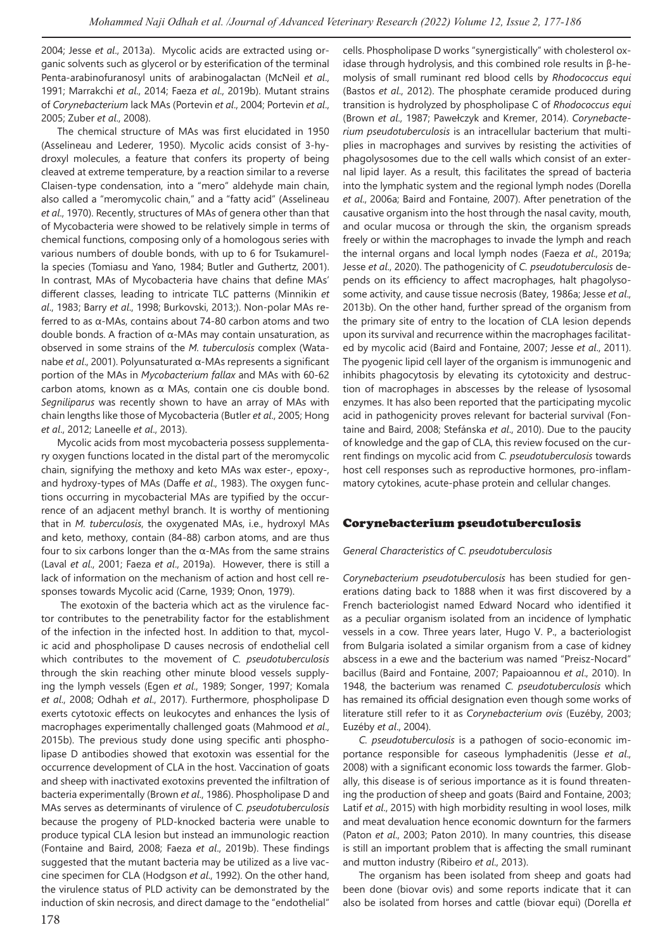2004; Jesse *et al*., 2013a). Mycolic acids are extracted using organic solvents such as glycerol or by esterification of the terminal Penta-arabinofuranosyl units of arabinogalactan (McNeil *et al*., 1991; Marrakchi *et al*., 2014; Faeza *et al*., 2019b). Mutant strains of *Corynebacterium* lack MAs (Portevin *et al*., 2004; Portevin *et al*., 2005; Zuber *et al*., 2008).

The chemical structure of MAs was first elucidated in 1950 (Asselineau and Lederer, 1950). Mycolic acids consist of 3-hydroxyl molecules, a feature that confers its property of being cleaved at extreme temperature, by a reaction similar to a reverse Claisen-type condensation, into a "mero" aldehyde main chain, also called a "meromycolic chain," and a "fatty acid" (Asselineau *et al*., 1970). Recently, structures of MAs of genera other than that of Mycobacteria were showed to be relatively simple in terms of chemical functions, composing only of a homologous series with various numbers of double bonds, with up to 6 for Tsukamurella species (Tomiasu and Yano, 1984; Butler and Guthertz, 2001). In contrast, MAs of Mycobacteria have chains that define MAs' different classes, leading to intricate TLC patterns (Minnikin *et al*., 1983; Barry *et al*., 1998; Burkovski, 2013;). Non-polar MAs referred to as α-MAs, contains about 74-80 carbon atoms and two double bonds. A fraction of α-MAs may contain unsaturation, as observed in some strains of the *M. tuberculosis* complex (Watanabe *et al*., 2001). Polyunsaturated α-MAs represents a significant portion of the MAs in *Mycobacterium fallax* and MAs with 60-62 carbon atoms, known as α MAs, contain one cis double bond. *Segniliparus* was recently shown to have an array of MAs with chain lengths like those of Mycobacteria (Butler *et al*., 2005; Hong *et al*., 2012; Laneelle *et al*., 2013).

Mycolic acids from most mycobacteria possess supplementary oxygen functions located in the distal part of the meromycolic chain, signifying the methoxy and keto MAs wax ester-, epoxy-, and hydroxy-types of MAs (Daffe *et al*., 1983). The oxygen functions occurring in mycobacterial MAs are typified by the occurrence of an adjacent methyl branch. It is worthy of mentioning that in *M. tuberculosis*, the oxygenated MAs, i.e., hydroxyl MAs and keto, methoxy, contain (84-88) carbon atoms, and are thus four to six carbons longer than the α-MAs from the same strains (Laval *et al*., 2001; Faeza *et al*., 2019a). However, there is still a lack of information on the mechanism of action and host cell responses towards Mycolic acid (Carne, 1939; Onon, 1979).

 The exotoxin of the bacteria which act as the virulence factor contributes to the penetrability factor for the establishment of the infection in the infected host. In addition to that, mycolic acid and phospholipase D causes necrosis of endothelial cell which contributes to the movement of *C. pseudotuberculosis* through the skin reaching other minute blood vessels supplying the lymph vessels (Egen *et al*., 1989; Songer, 1997; Komala *et al*., 2008; Odhah *et al*., 2017). Furthermore, phospholipase D exerts cytotoxic effects on leukocytes and enhances the lysis of macrophages experimentally challenged goats (Mahmood *et al*., 2015b). The previous study done using specific anti phospholipase D antibodies showed that exotoxin was essential for the occurrence development of CLA in the host. Vaccination of goats and sheep with inactivated exotoxins prevented the infiltration of bacteria experimentally (Brown *et al*., 1986). Phospholipase D and MAs serves as determinants of virulence of *C. pseudotuberculosis* because the progeny of PLD-knocked bacteria were unable to produce typical CLA lesion but instead an immunologic reaction (Fontaine and Baird, 2008; Faeza *et al*., 2019b). These findings suggested that the mutant bacteria may be utilized as a live vaccine specimen for CLA (Hodgson *et al*., 1992). On the other hand, the virulence status of PLD activity can be demonstrated by the induction of skin necrosis, and direct damage to the "endothelial"

idase through hydrolysis, and this combined role results in β-hemolysis of small ruminant red blood cells by *Rhodococcus equi* (Bastos *et al*., 2012). The phosphate ceramide produced during transition is hydrolyzed by phospholipase C of *Rhodococcus equi* (Brown *et al*., 1987; Pawełczyk and Kremer, 2014). *Corynebacterium pseudotuberculosis* is an intracellular bacterium that multiplies in macrophages and survives by resisting the activities of phagolysosomes due to the cell walls which consist of an external lipid layer. As a result, this facilitates the spread of bacteria into the lymphatic system and the regional lymph nodes (Dorella *et al*., 2006a; Baird and Fontaine, 2007). After penetration of the causative organism into the host through the nasal cavity, mouth, and ocular mucosa or through the skin, the organism spreads freely or within the macrophages to invade the lymph and reach the internal organs and local lymph nodes (Faeza *et al*., 2019a; Jesse *et al*., 2020). The pathogenicity of *C. pseudotuberculosis* depends on its efficiency to affect macrophages, halt phagolysosome activity, and cause tissue necrosis (Batey, 1986a; Jesse *et al*., 2013b). On the other hand, further spread of the organism from the primary site of entry to the location of CLA lesion depends upon its survival and recurrence within the macrophages facilitated by mycolic acid (Baird and Fontaine, 2007; Jesse *et al*., 2011). The pyogenic lipid cell layer of the organism is immunogenic and inhibits phagocytosis by elevating its cytotoxicity and destruction of macrophages in abscesses by the release of lysosomal enzymes. It has also been reported that the participating mycolic acid in pathogenicity proves relevant for bacterial survival (Fontaine and Baird, 2008; Stefánska *et al*., 2010). Due to the paucity of knowledge and the gap of CLA, this review focused on the current findings on mycolic acid from *C. pseudotuberculosis* towards host cell responses such as reproductive hormones, pro-inflammatory cytokines, acute-phase protein and cellular changes.

cells. Phospholipase D works "synergistically" with cholesterol ox-

## Corynebacterium pseudotuberculosis

#### *General Characteristics of C. pseudotuberculosis*

*Corynebacterium pseudotuberculosis* has been studied for generations dating back to 1888 when it was first discovered by a French bacteriologist named Edward Nocard who identified it as a peculiar organism isolated from an incidence of lymphatic vessels in a cow. Three years later, Hugo V. P., a bacteriologist from Bulgaria isolated a similar organism from a case of kidney abscess in a ewe and the bacterium was named "Preisz-Nocard" bacillus (Baird and Fontaine, 2007; Papaioannou *et al*., 2010). In 1948, the bacterium was renamed *C. pseudotuberculosis* which has remained its official designation even though some works of literature still refer to it as *Corynebacterium ovis* (Euzéby, 2003; Euzéby *et al*., 2004).

*C. pseudotuberculosis* is a pathogen of socio-economic importance responsible for caseous lymphadenitis (Jesse *et al*., 2008) with a significant economic loss towards the farmer. Globally, this disease is of serious importance as it is found threatening the production of sheep and goats (Baird and Fontaine, 2003; Latif *et al*., 2015) with high morbidity resulting in wool loses, milk and meat devaluation hence economic downturn for the farmers (Paton *et al*., 2003; Paton 2010). In many countries, this disease is still an important problem that is affecting the small ruminant and mutton industry (Ribeiro *et al*., 2013).

The organism has been isolated from sheep and goats had been done (biovar ovis) and some reports indicate that it can also be isolated from horses and cattle (biovar equi) (Dorella *et*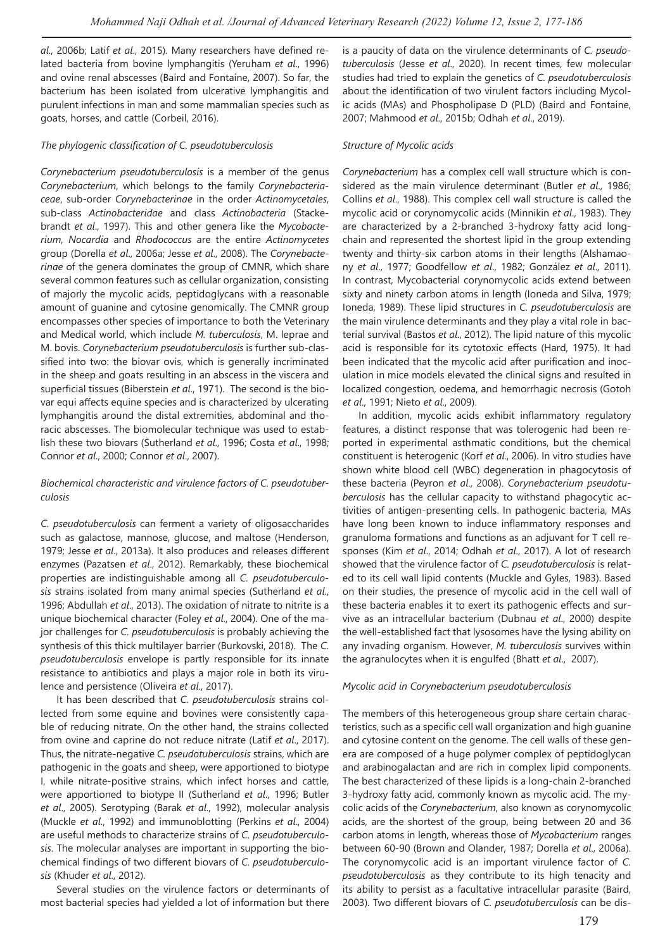*al*., 2006b; Latif *et al*., 2015). Many researchers have defined related bacteria from bovine lymphangitis (Yeruham *et al*., 1996) and ovine renal abscesses (Baird and Fontaine, 2007). So far, the bacterium has been isolated from ulcerative lymphangitis and purulent infections in man and some mammalian species such as goats, horses, and cattle (Corbeil, 2016).

#### *The phylogenic classification of C. pseudotuberculosis*

*Corynebacterium pseudotuberculosis* is a member of the genus *Corynebacterium*, which belongs to the family *Corynebacteriaceae*, sub-order *Corynebacterinae* in the order *Actinomycetales*, sub-class *Actinobacteridae* and class *Actinobacteria* (Stackebrandt *et al*., 1997). This and other genera like the *Mycobacterium, Nocardia* and *Rhodococcus* are the entire *Actinomycetes* group (Dorella *et al*., 2006a; Jesse *et al*., 2008). The *Corynebacterinae* of the genera dominates the group of CMNR, which share several common features such as cellular organization, consisting of majorly the mycolic acids, peptidoglycans with a reasonable amount of guanine and cytosine genomically. The CMNR group encompasses other species of importance to both the Veterinary and Medical world, which include *M. tuberculosis*, M. leprae and M. bovis. *Corynebacterium pseudotuberculosis* is further sub-classified into two: the biovar ovis, which is generally incriminated in the sheep and goats resulting in an abscess in the viscera and superficial tissues (Biberstein *et al*., 1971). The second is the biovar equi affects equine species and is characterized by ulcerating lymphangitis around the distal extremities, abdominal and thoracic abscesses. The biomolecular technique was used to establish these two biovars (Sutherland *et al*., 1996; Costa *et al*., 1998; Connor *et al*., 2000; Connor *et al*., 2007).

#### *Biochemical characteristic and virulence factors of C. pseudotuberculosis*

*C. pseudotuberculosis* can ferment a variety of oligosaccharides such as galactose, mannose, glucose, and maltose (Henderson, 1979; Jesse *et al*., 2013a). It also produces and releases different enzymes (Pazatsen *et al*., 2012). Remarkably, these biochemical properties are indistinguishable among all *C. pseudotuberculosis* strains isolated from many animal species (Sutherland *et al*., 1996; Abdullah *et al*., 2013). The oxidation of nitrate to nitrite is a unique biochemical character (Foley *et al*., 2004). One of the major challenges for *C. pseudotuberculosis* is probably achieving the synthesis of this thick multilayer barrier (Burkovski, 2018). The *C. pseudotuberculosis* envelope is partly responsible for its innate resistance to antibiotics and plays a major role in both its virulence and persistence (Oliveira *et al*., 2017).

It has been described that *C. pseudotuberculosis* strains collected from some equine and bovines were consistently capable of reducing nitrate. On the other hand, the strains collected from ovine and caprine do not reduce nitrate (Latif *et al*., 2017). Thus, the nitrate-negative *C. pseudotuberculosis* strains, which are pathogenic in the goats and sheep, were apportioned to biotype I, while nitrate-positive strains, which infect horses and cattle, were apportioned to biotype II (Sutherland *et al*., 1996; Butler *et al*., 2005). Serotyping (Barak *et al*., 1992), molecular analysis (Muckle *et al*., 1992) and immunoblotting (Perkins *et al*., 2004) are useful methods to characterize strains of *C. pseudotuberculosis*. The molecular analyses are important in supporting the biochemical findings of two different biovars of *C. pseudotuberculosis* (Khuder *et al*., 2012).

Several studies on the virulence factors or determinants of most bacterial species had yielded a lot of information but there

is a paucity of data on the virulence determinants of *C. pseudotuberculosis* (Jesse *et al*., 2020). In recent times, few molecular studies had tried to explain the genetics of *C. pseudotuberculosis* about the identification of two virulent factors including Mycolic acids (MAs) and Phospholipase D (PLD) (Baird and Fontaine, 2007; Mahmood *et al*., 2015b; Odhah *et al*., 2019).

#### *Structure of Mycolic acids*

*Corynebacterium* has a complex cell wall structure which is considered as the main virulence determinant (Butler *et al*., 1986; Collins *et al*., 1988). This complex cell wall structure is called the mycolic acid or corynomycolic acids (Minnikin *et al*., 1983). They are characterized by a 2-branched 3-hydroxy fatty acid longchain and represented the shortest lipid in the group extending twenty and thirty-six carbon atoms in their lengths (Alshamaony *et al*., 1977; Goodfellow *et al*., 1982; González *et al*., 2011). In contrast, Mycobacterial corynomycolic acids extend between sixty and ninety carbon atoms in length (Ioneda and Silva, 1979; Ioneda, 1989). These lipid structures in *C. pseudotuberculosis* are the main virulence determinants and they play a vital role in bacterial survival (Bastos *et al*., 2012). The lipid nature of this mycolic acid is responsible for its cytotoxic effects (Hard, 1975). It had been indicated that the mycolic acid after purification and inoculation in mice models elevated the clinical signs and resulted in localized congestion, oedema, and hemorrhagic necrosis (Gotoh *et al*., 1991; Nieto *et al*., 2009).

In addition, mycolic acids exhibit inflammatory regulatory features, a distinct response that was tolerogenic had been reported in experimental asthmatic conditions, but the chemical constituent is heterogenic (Korf *et al*., 2006). In vitro studies have shown white blood cell (WBC) degeneration in phagocytosis of these bacteria (Peyron *et al*., 2008). *Corynebacterium pseudotuberculosis* has the cellular capacity to withstand phagocytic activities of antigen-presenting cells. In pathogenic bacteria, MAs have long been known to induce inflammatory responses and granuloma formations and functions as an adjuvant for T cell responses (Kim *et al*., 2014; Odhah *et al*., 2017). A lot of research showed that the virulence factor of *C. pseudotuberculosis* is related to its cell wall lipid contents (Muckle and Gyles, 1983). Based on their studies, the presence of mycolic acid in the cell wall of these bacteria enables it to exert its pathogenic effects and survive as an intracellular bacterium (Dubnau *et al*., 2000) despite the well-established fact that lysosomes have the lysing ability on any invading organism. However, *M. tuberculosis* survives within the agranulocytes when it is engulfed (Bhatt *et al*., 2007).

#### *Mycolic acid in Corynebacterium pseudotuberculosis*

The members of this heterogeneous group share certain characteristics, such as a specific cell wall organization and high guanine and cytosine content on the genome. The cell walls of these genera are composed of a huge polymer complex of peptidoglycan and arabinogalactan and are rich in complex lipid components. The best characterized of these lipids is a long-chain 2-branched 3-hydroxy fatty acid, commonly known as mycolic acid. The mycolic acids of the *Corynebacterium*, also known as corynomycolic acids, are the shortest of the group, being between 20 and 36 carbon atoms in length, whereas those of *Mycobacterium* ranges between 60-90 (Brown and Olander, 1987; Dorella *et al*., 2006a). The corynomycolic acid is an important virulence factor of *C. pseudotuberculosis* as they contribute to its high tenacity and its ability to persist as a facultative intracellular parasite (Baird, 2003). Two different biovars of *C. pseudotuberculosis* can be dis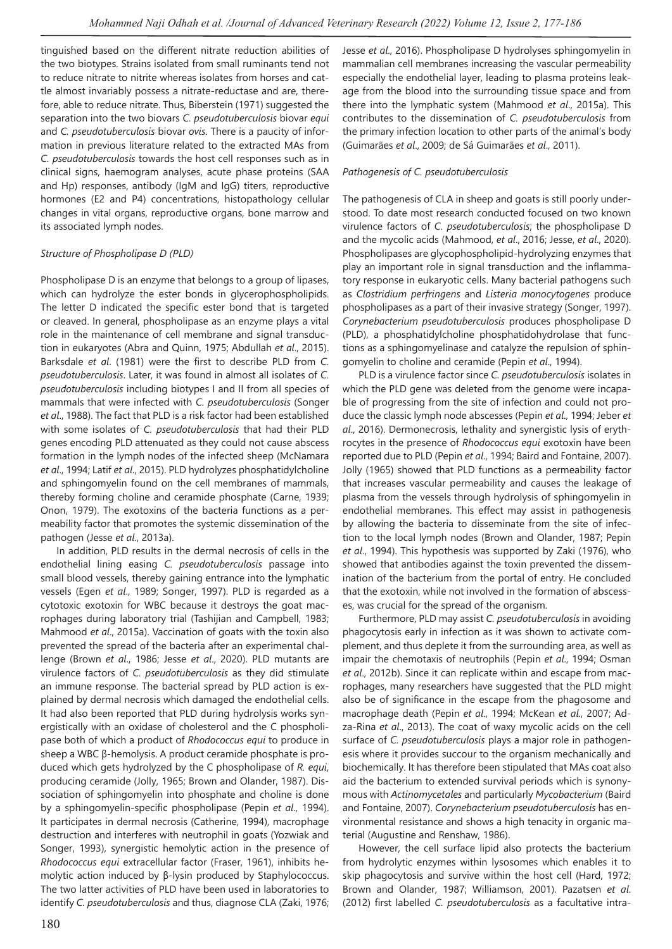tinguished based on the different nitrate reduction abilities of the two biotypes. Strains isolated from small ruminants tend not to reduce nitrate to nitrite whereas isolates from horses and cattle almost invariably possess a nitrate-reductase and are, therefore, able to reduce nitrate. Thus, Biberstein (1971) suggested the separation into the two biovars *C. pseudotuberculosis* biovar *equi* and *C. pseudotuberculosis* biovar *ovis*. There is a paucity of information in previous literature related to the extracted MAs from *C. pseudotuberculosis* towards the host cell responses such as in clinical signs, haemogram analyses, acute phase proteins (SAA and Hp) responses, antibody (IgM and IgG) titers, reproductive hormones (E2 and P4) concentrations, histopathology cellular changes in vital organs, reproductive organs, bone marrow and its associated lymph nodes.

#### *Structure of Phospholipase D (PLD)*

Phospholipase D is an enzyme that belongs to a group of lipases, which can hydrolyze the ester bonds in glycerophospholipids. The letter D indicated the specific ester bond that is targeted or cleaved. In general, phospholipase as an enzyme plays a vital role in the maintenance of cell membrane and signal transduction in eukaryotes (Abra and Quinn, 1975; Abdullah *et al*., 2015). Barksdale *et al*. (1981) were the first to describe PLD from *C. pseudotuberculosis*. Later, it was found in almost all isolates of *C. pseudotuberculosis* including biotypes I and II from all species of mammals that were infected with *C. pseudotuberculosis* (Songer *et al*., 1988). The fact that PLD is a risk factor had been established with some isolates of *C. pseudotuberculosis* that had their PLD genes encoding PLD attenuated as they could not cause abscess formation in the lymph nodes of the infected sheep (McNamara *et al*., 1994; Latif *et al*., 2015). PLD hydrolyzes phosphatidylcholine and sphingomyelin found on the cell membranes of mammals, thereby forming choline and ceramide phosphate (Carne, 1939; Onon, 1979). The exotoxins of the bacteria functions as a permeability factor that promotes the systemic dissemination of the pathogen (Jesse *et al*., 2013a).

In addition, PLD results in the dermal necrosis of cells in the endothelial lining easing *C. pseudotuberculosis* passage into small blood vessels, thereby gaining entrance into the lymphatic vessels (Egen *et al*., 1989; Songer, 1997). PLD is regarded as a cytotoxic exotoxin for WBC because it destroys the goat macrophages during laboratory trial (Tashijian and Campbell, 1983; Mahmood *et al*., 2015a). Vaccination of goats with the toxin also prevented the spread of the bacteria after an experimental challenge (Brown *et al*., 1986; Jesse *et al*., 2020). PLD mutants are virulence factors of *C. pseudotuberculosis* as they did stimulate an immune response. The bacterial spread by PLD action is explained by dermal necrosis which damaged the endothelial cells. It had also been reported that PLD during hydrolysis works synergistically with an oxidase of cholesterol and the C phospholipase both of which a product of *Rhodococcus equi* to produce in sheep a WBC β-hemolysis. A product ceramide phosphate is produced which gets hydrolyzed by the C phospholipase of *R. equi*, producing ceramide (Jolly, 1965; Brown and Olander, 1987). Dissociation of sphingomyelin into phosphate and choline is done by a sphingomyelin-specific phospholipase (Pepin *et al*., 1994). It participates in dermal necrosis (Catherine, 1994), macrophage destruction and interferes with neutrophil in goats (Yozwiak and Songer, 1993), synergistic hemolytic action in the presence of *Rhodococcus equi* extracellular factor (Fraser, 1961), inhibits hemolytic action induced by β-lysin produced by Staphylococcus. The two latter activities of PLD have been used in laboratories to identify *C. pseudotuberculosis* and thus, diagnose CLA (Zaki, 1976; Jesse *et al*., 2016). Phospholipase D hydrolyses sphingomyelin in mammalian cell membranes increasing the vascular permeability especially the endothelial layer, leading to plasma proteins leakage from the blood into the surrounding tissue space and from there into the lymphatic system (Mahmood *et al*., 2015a). This contributes to the dissemination of *C. pseudotuberculosis* from the primary infection location to other parts of the animal's body (Guimarães *et al*., 2009; de Sá Guimarães *et al*., 2011).

#### *Pathogenesis of C. pseudotuberculosis*

The pathogenesis of CLA in sheep and goats is still poorly understood. To date most research conducted focused on two known virulence factors of *C. pseudotuberculosis*; the phospholipase D and the mycolic acids (Mahmood, *et al*., 2016; Jesse, *et al*., 2020). Phospholipases are glycophospholipid-hydrolyzing enzymes that play an important role in signal transduction and the inflammatory response in eukaryotic cells. Many bacterial pathogens such as *Clostridium perfringens* and *Listeria monocytogenes* produce phospholipases as a part of their invasive strategy (Songer, 1997). *Corynebacterium pseudotuberculosis* produces phospholipase D (PLD), a phosphatidylcholine phosphatidohydrolase that functions as a sphingomyelinase and catalyze the repulsion of sphingomyelin to choline and ceramide (Pepin *et al*., 1994).

PLD is a virulence factor since *C. pseudotuberculosis* isolates in which the PLD gene was deleted from the genome were incapable of progressing from the site of infection and could not produce the classic lymph node abscesses (Pepin *et al*., 1994; Jeber *et al*., 2016). Dermonecrosis, lethality and synergistic lysis of erythrocytes in the presence of *Rhodococcus equi* exotoxin have been reported due to PLD (Pepin *et al*., 1994; Baird and Fontaine, 2007). Jolly (1965) showed that PLD functions as a permeability factor that increases vascular permeability and causes the leakage of plasma from the vessels through hydrolysis of sphingomyelin in endothelial membranes. This effect may assist in pathogenesis by allowing the bacteria to disseminate from the site of infection to the local lymph nodes (Brown and Olander, 1987; Pepin *et al*., 1994). This hypothesis was supported by Zaki (1976), who showed that antibodies against the toxin prevented the dissemination of the bacterium from the portal of entry. He concluded that the exotoxin, while not involved in the formation of abscesses, was crucial for the spread of the organism.

Furthermore, PLD may assist *C. pseudotuberculosis* in avoiding phagocytosis early in infection as it was shown to activate complement, and thus deplete it from the surrounding area, as well as impair the chemotaxis of neutrophils (Pepin *et al*., 1994; Osman *et al*., 2012b). Since it can replicate within and escape from macrophages, many researchers have suggested that the PLD might also be of significance in the escape from the phagosome and macrophage death (Pepin *et al*., 1994; McKean *et al*., 2007; Adza-Rina *et al*., 2013). The coat of waxy mycolic acids on the cell surface of *C. pseudotuberculosis* plays a major role in pathogenesis where it provides succour to the organism mechanically and biochemically. It has therefore been stipulated that MAs coat also aid the bacterium to extended survival periods which is synonymous with *Actinomycetales* and particularly *Mycobacterium* (Baird and Fontaine, 2007). *Corynebacterium pseudotuberculosis* has environmental resistance and shows a high tenacity in organic material (Augustine and Renshaw, 1986).

However, the cell surface lipid also protects the bacterium from hydrolytic enzymes within lysosomes which enables it to skip phagocytosis and survive within the host cell (Hard, 1972; Brown and Olander, 1987; Williamson, 2001). Pazatsen *et al*. (2012) first labelled *C. pseudotuberculosis* as a facultative intra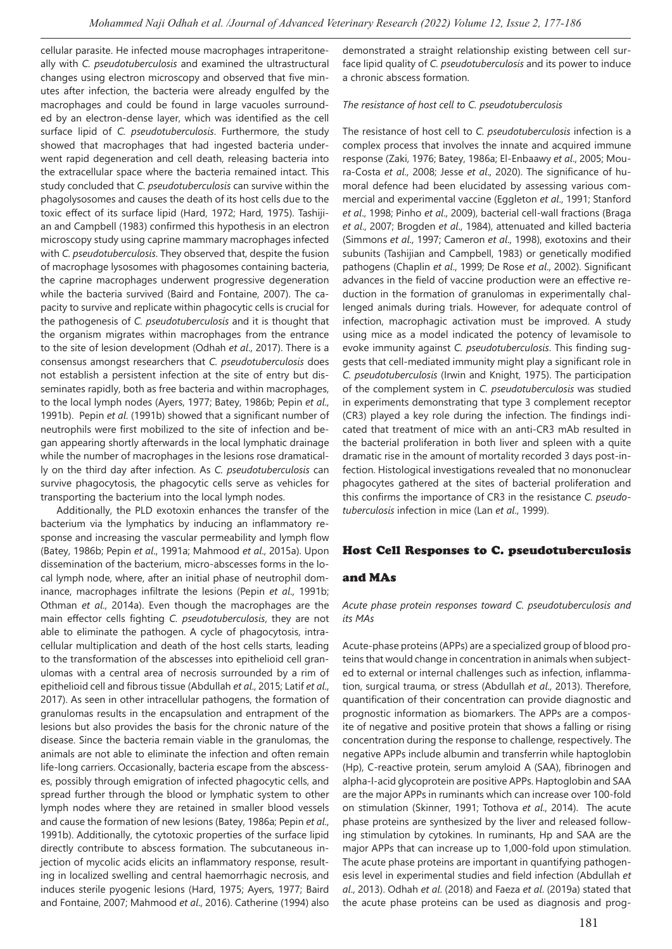cellular parasite. He infected mouse macrophages intraperitoneally with *C. pseudotuberculosis* and examined the ultrastructural changes using electron microscopy and observed that five minutes after infection, the bacteria were already engulfed by the macrophages and could be found in large vacuoles surrounded by an electron-dense layer, which was identified as the cell surface lipid of *C. pseudotuberculosis*. Furthermore, the study showed that macrophages that had ingested bacteria underwent rapid degeneration and cell death, releasing bacteria into the extracellular space where the bacteria remained intact. This study concluded that *C. pseudotuberculosis* can survive within the phagolysosomes and causes the death of its host cells due to the toxic effect of its surface lipid (Hard, 1972; Hard, 1975). Tashijian and Campbell (1983) confirmed this hypothesis in an electron microscopy study using caprine mammary macrophages infected with *C. pseudotuberculosis*. They observed that, despite the fusion of macrophage lysosomes with phagosomes containing bacteria, the caprine macrophages underwent progressive degeneration while the bacteria survived (Baird and Fontaine, 2007). The capacity to survive and replicate within phagocytic cells is crucial for the pathogenesis of *C. pseudotuberculosis* and it is thought that the organism migrates within macrophages from the entrance to the site of lesion development (Odhah *et al*., 2017). There is a consensus amongst researchers that *C. pseudotuberculosis* does not establish a persistent infection at the site of entry but disseminates rapidly, both as free bacteria and within macrophages, to the local lymph nodes (Ayers, 1977; Batey, 1986b; Pepin *et al*., 1991b). Pepin *et al*. (1991b) showed that a significant number of neutrophils were first mobilized to the site of infection and began appearing shortly afterwards in the local lymphatic drainage while the number of macrophages in the lesions rose dramatically on the third day after infection. As *C. pseudotuberculosis* can survive phagocytosis, the phagocytic cells serve as vehicles for transporting the bacterium into the local lymph nodes.

Additionally, the PLD exotoxin enhances the transfer of the bacterium via the lymphatics by inducing an inflammatory response and increasing the vascular permeability and lymph flow (Batey, 1986b; Pepin *et al*., 1991a; Mahmood *et al*., 2015a). Upon dissemination of the bacterium, micro-abscesses forms in the local lymph node, where, after an initial phase of neutrophil dominance, macrophages infiltrate the lesions (Pepin *et al*., 1991b; Othman *et al*., 2014a). Even though the macrophages are the main effector cells fighting *C. pseudotuberculosis*, they are not able to eliminate the pathogen. A cycle of phagocytosis, intracellular multiplication and death of the host cells starts, leading to the transformation of the abscesses into epithelioid cell granulomas with a central area of necrosis surrounded by a rim of epithelioid cell and fibrous tissue (Abdullah *et al*., 2015; Latif *et al*., 2017). As seen in other intracellular pathogens, the formation of granulomas results in the encapsulation and entrapment of the lesions but also provides the basis for the chronic nature of the disease. Since the bacteria remain viable in the granulomas, the animals are not able to eliminate the infection and often remain life-long carriers. Occasionally, bacteria escape from the abscesses, possibly through emigration of infected phagocytic cells, and spread further through the blood or lymphatic system to other lymph nodes where they are retained in smaller blood vessels and cause the formation of new lesions (Batey, 1986a; Pepin *et al*., 1991b). Additionally, the cytotoxic properties of the surface lipid directly contribute to abscess formation. The subcutaneous injection of mycolic acids elicits an inflammatory response, resulting in localized swelling and central haemorrhagic necrosis, and induces sterile pyogenic lesions (Hard, 1975; Ayers, 1977; Baird and Fontaine, 2007; Mahmood *et al*., 2016). Catherine (1994) also

demonstrated a straight relationship existing between cell surface lipid quality of *C. pseudotuberculosis* and its power to induce a chronic abscess formation.

#### *The resistance of host cell to C. pseudotuberculosis*

The resistance of host cell to *C. pseudotuberculosis* infection is a complex process that involves the innate and acquired immune response (Zaki, 1976; Batey, 1986a; El-Enbaawy *et al*., 2005; Moura-Costa *et al*., 2008; Jesse *et al*., 2020). The significance of humoral defence had been elucidated by assessing various commercial and experimental vaccine (Eggleton *et al*., 1991; Stanford *et al*., 1998; Pinho *et al*., 2009), bacterial cell-wall fractions (Braga *et al*., 2007; Brogden *et al*., 1984), attenuated and killed bacteria (Simmons *et al*., 1997; Cameron *et al*., 1998), exotoxins and their subunits (Tashijian and Campbell, 1983) or genetically modified pathogens (Chaplin *et al*., 1999; De Rose *et al*., 2002). Significant advances in the field of vaccine production were an effective reduction in the formation of granulomas in experimentally challenged animals during trials. However, for adequate control of infection, macrophagic activation must be improved. A study using mice as a model indicated the potency of levamisole to evoke immunity against *C. pseudotuberculosis*. This finding suggests that cell-mediated immunity might play a significant role in *C. pseudotuberculosis* (Irwin and Knight, 1975). The participation of the complement system in *C. pseudotuberculosis* was studied in experiments demonstrating that type 3 complement receptor (CR3) played a key role during the infection. The findings indicated that treatment of mice with an anti-CR3 mAb resulted in the bacterial proliferation in both liver and spleen with a quite dramatic rise in the amount of mortality recorded 3 days post-infection. Histological investigations revealed that no mononuclear phagocytes gathered at the sites of bacterial proliferation and this confirms the importance of CR3 in the resistance *C. pseudotuberculosis* infection in mice (Lan *et al*., 1999).

#### Host Cell Responses to C. pseudotuberculosis

#### and MAs

*Acute phase protein responses toward C. pseudotuberculosis and its MAs* 

Acute-phase proteins (APPs) are a specialized group of blood proteins that would change in concentration in animals when subjected to external or internal challenges such as infection, inflammation, surgical trauma, or stress (Abdullah *et al*., 2013). Therefore, quantification of their concentration can provide diagnostic and prognostic information as biomarkers. The APPs are a composite of negative and positive protein that shows a falling or rising concentration during the response to challenge, respectively. The negative APPs include albumin and transferrin while haptoglobin (Hp), C-reactive protein, serum amyloid A (SAA), fibrinogen and alpha-l-acid glycoprotein are positive APPs. Haptoglobin and SAA are the major APPs in ruminants which can increase over 100-fold on stimulation (Skinner, 1991; Tothova *et al*., 2014). The acute phase proteins are synthesized by the liver and released following stimulation by cytokines. In ruminants, Hp and SAA are the major APPs that can increase up to 1,000-fold upon stimulation. The acute phase proteins are important in quantifying pathogenesis level in experimental studies and field infection (Abdullah *et al*., 2013). Odhah *et al*. (2018) and Faeza *et al*. (2019a) stated that the acute phase proteins can be used as diagnosis and prog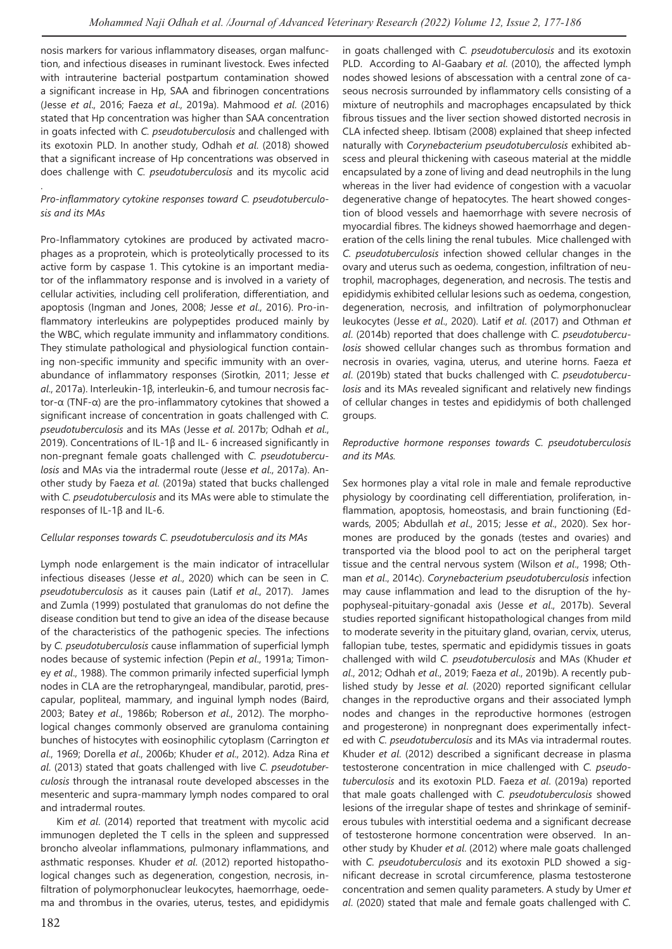nosis markers for various inflammatory diseases, organ malfunction, and infectious diseases in ruminant livestock. Ewes infected with intrauterine bacterial postpartum contamination showed a significant increase in Hp, SAA and fibrinogen concentrations (Jesse *et al*., 2016; Faeza *et al*., 2019a). Mahmood *et al*. (2016) stated that Hp concentration was higher than SAA concentration in goats infected with *C. pseudotuberculosis* and challenged with its exotoxin PLD. In another study, Odhah *et al*. (2018) showed that a significant increase of Hp concentrations was observed in does challenge with *C. pseudotuberculosis* and its mycolic acid

### *Pro-inflammatory cytokine responses toward C. pseudotuberculosis and its MAs*

.

Pro-Inflammatory cytokines are produced by activated macrophages as a proprotein, which is proteolytically processed to its active form by caspase 1. This cytokine is an important mediator of the inflammatory response and is involved in a variety of cellular activities, including cell proliferation, differentiation, and apoptosis (Ingman and Jones, 2008; Jesse *et al*., 2016). Pro-inflammatory interleukins are polypeptides produced mainly by the WBC, which regulate immunity and inflammatory conditions. They stimulate pathological and physiological function containing non-specific immunity and specific immunity with an overabundance of inflammatory responses (Sirotkin, 2011; Jesse *et al*., 2017a). Interleukin-1β, interleukin-6, and tumour necrosis factor-α (TNF-α) are the pro-inflammatory cytokines that showed a significant increase of concentration in goats challenged with *C. pseudotuberculosis* and its MAs (Jesse *et al*. 2017b; Odhah *et al*., 2019). Concentrations of IL-1β and IL- 6 increased significantly in non-pregnant female goats challenged with *C. pseudotuberculosis* and MAs via the intradermal route (Jesse *et al*., 2017a). Another study by Faeza *et al*. (2019a) stated that bucks challenged with *C. pseudotuberculosis* and its MAs were able to stimulate the responses of IL-1β and IL-6.

## *Cellular responses towards C. pseudotuberculosis and its MAs*

Lymph node enlargement is the main indicator of intracellular infectious diseases (Jesse *et al*., 2020) which can be seen in *C. pseudotuberculosis* as it causes pain (Latif *et al*., 2017). James and Zumla (1999) postulated that granulomas do not define the disease condition but tend to give an idea of the disease because of the characteristics of the pathogenic species. The infections by *C. pseudotuberculosis* cause inflammation of superficial lymph nodes because of systemic infection (Pepin *et al*., 1991a; Timoney *et al*., 1988). The common primarily infected superficial lymph nodes in CLA are the retropharyngeal, mandibular, parotid, prescapular, popliteal, mammary, and inguinal lymph nodes (Baird, 2003; Batey *et al*., 1986b; Roberson *et al*., 2012). The morphological changes commonly observed are granuloma containing bunches of histocytes with eosinophilic cytoplasm (Carrington *et al*., 1969; Dorella *et al*., 2006b; Khuder *et al*., 2012). Adza Rina *et al*. (2013) stated that goats challenged with live *C. pseudotuberculosis* through the intranasal route developed abscesses in the mesenteric and supra-mammary lymph nodes compared to oral and intradermal routes.

Kim *et al*. (2014) reported that treatment with mycolic acid immunogen depleted the T cells in the spleen and suppressed broncho alveolar inflammations, pulmonary inflammations, and asthmatic responses. Khuder *et al*. (2012) reported histopathological changes such as degeneration, congestion, necrosis, infiltration of polymorphonuclear leukocytes, haemorrhage, oedema and thrombus in the ovaries, uterus, testes, and epididymis in goats challenged with *C. pseudotuberculosis* and its exotoxin PLD. According to Al-Gaabary *et al*. (2010), the affected lymph nodes showed lesions of abscessation with a central zone of caseous necrosis surrounded by inflammatory cells consisting of a mixture of neutrophils and macrophages encapsulated by thick fibrous tissues and the liver section showed distorted necrosis in CLA infected sheep. Ibtisam (2008) explained that sheep infected naturally with *Corynebacterium pseudotuberculosis* exhibited abscess and pleural thickening with caseous material at the middle encapsulated by a zone of living and dead neutrophils in the lung whereas in the liver had evidence of congestion with a vacuolar degenerative change of hepatocytes. The heart showed congestion of blood vessels and haemorrhage with severe necrosis of myocardial fibres. The kidneys showed haemorrhage and degeneration of the cells lining the renal tubules. Mice challenged with *C. pseudotuberculosis* infection showed cellular changes in the ovary and uterus such as oedema, congestion, infiltration of neutrophil, macrophages, degeneration, and necrosis. The testis and epididymis exhibited cellular lesions such as oedema, congestion, degeneration, necrosis, and infiltration of polymorphonuclear leukocytes (Jesse *et al*., 2020). Latif *et al*. (2017) and Othman *et al*. (2014b) reported that does challenge with *C. pseudotuberculosis* showed cellular changes such as thrombus formation and necrosis in ovaries, vagina, uterus, and uterine horns. Faeza *et al*. (2019b) stated that bucks challenged with *C. pseudotuberculosis* and its MAs revealed significant and relatively new findings of cellular changes in testes and epididymis of both challenged groups.

#### *Reproductive hormone responses towards C. pseudotuberculosis and its MAs.*

Sex hormones play a vital role in male and female reproductive physiology by coordinating cell differentiation, proliferation, inflammation, apoptosis, homeostasis, and brain functioning (Edwards, 2005; Abdullah *et al*., 2015; Jesse *et al*., 2020). Sex hormones are produced by the gonads (testes and ovaries) and transported via the blood pool to act on the peripheral target tissue and the central nervous system (Wilson *et al*., 1998; Othman *et al*., 2014c). *Corynebacterium pseudotuberculosis* infection may cause inflammation and lead to the disruption of the hypophyseal-pituitary-gonadal axis (Jesse *et al*., 2017b). Several studies reported significant histopathological changes from mild to moderate severity in the pituitary gland, ovarian, cervix, uterus, fallopian tube, testes, spermatic and epididymis tissues in goats challenged with wild *C. pseudotuberculosis* and MAs (Khuder *et al*., 2012; Odhah *et al*., 2019; Faeza *et al*., 2019b). A recently published study by Jesse *et al*. (2020) reported significant cellular changes in the reproductive organs and their associated lymph nodes and changes in the reproductive hormones (estrogen and progesterone) in nonpregnant does experimentally infected with *C. pseudotuberculosis* and its MAs via intradermal routes. Khuder *et al*. (2012) described a significant decrease in plasma testosterone concentration in mice challenged with *C. pseudotuberculosis* and its exotoxin PLD. Faeza *et al*. (2019a) reported that male goats challenged with *C. pseudotuberculosis* showed lesions of the irregular shape of testes and shrinkage of seminiferous tubules with interstitial oedema and a significant decrease of testosterone hormone concentration were observed. In another study by Khuder *et al*. (2012) where male goats challenged with *C. pseudotuberculosis* and its exotoxin PLD showed a significant decrease in scrotal circumference, plasma testosterone concentration and semen quality parameters. A study by Umer *et al*. (2020) stated that male and female goats challenged with *C.*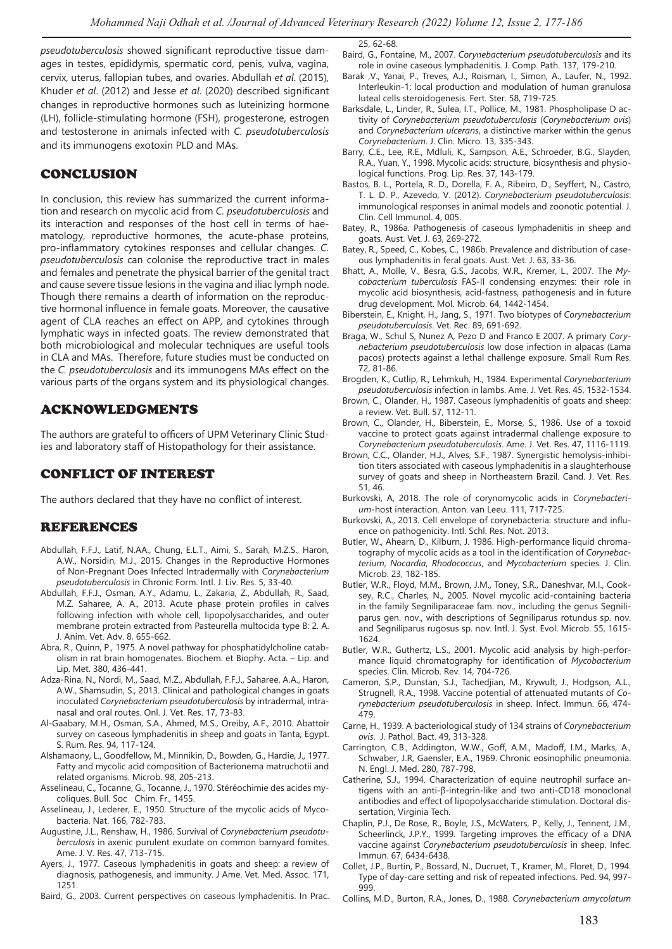*pseudotuberculosis* showed significant reproductive tissue damages in testes, epididymis, spermatic cord, penis, vulva, vagina, cervix, uterus, fallopian tubes, and ovaries. Abdullah *et al*. (2015), Khuder *et al*. (2012) and Jesse *et al*. (2020) described significant changes in reproductive hormones such as luteinizing hormone (LH), follicle-stimulating hormone (FSH), progesterone, estrogen and testosterone in animals infected with *C. pseudotuberculosis* and its immunogens exotoxin PLD and MAs.

# CONCLUSION

In conclusion, this review has summarized the current information and research on mycolic acid from *C. pseudotuberculosis* and its interaction and responses of the host cell in terms of haematology, reproductive hormones, the acute-phase proteins, pro-inflammatory cytokines responses and cellular changes. *C. pseudotuberculosis* can colonise the reproductive tract in males and females and penetrate the physical barrier of the genital tract and cause severe tissue lesions in the vagina and iliac lymph node. Though there remains a dearth of information on the reproductive hormonal influence in female goats. Moreover, the causative agent of CLA reaches an effect on APP, and cytokines through lymphatic ways in infected goats. The review demonstrated that both microbiological and molecular techniques are useful tools in CLA and MAs. Therefore, future studies must be conducted on the *C. pseudotuberculosis* and its immunogens MAs effect on the various parts of the organs system and its physiological changes.

## ACKNOWLEDGMENTS

The authors are grateful to officers of UPM Veterinary Clinic Studies and laboratory staff of Histopathology for their assistance.

# CONFLICT OF INTEREST

The authors declared that they have no conflict of interest.

# REFERENCES

- Abdullah, F.F.J., Latif, N.AA., Chung, E.L.T., Aimi, S., Sarah, M.Z.S., Haron, A.W., Norsidin, M.J., 2015. Changes in the Reproductive Hormones of Non-Pregnant Does Infected Intradermally with *Corynebacterium pseudotuberculosis* in Chronic Form. Intl. J. Liv. Res. 5, 33-40.
- Abdullah, F.F.J., Osman, A.Y., Adamu, L., Zakaria, Z., Abdullah, R., Saad, M.Z. Saharee, A. A., 2013. Acute phase protein profiles in calves following infection with whole cell, lipopolysaccharides, and outer membrane protein extracted from Pasteurella multocida type B: 2. A. J. Anim. Vet. Adv. 8, 655-662.
- Abra, R., Quinn, P., 1975. A novel pathway for phosphatidylcholine catabolism in rat brain homogenates. Biochem. et Biophy. Acta. – Lip. and Lip. Met. 380, 436-441.
- Adza-Rina, N., Nordi, M., Saad, M.Z., Abdullah, F.F.J., Saharee, A.A., Haron, A.W., Shamsudin, S., 2013. Clinical and pathological changes in goats inoculated *Corynebacterium pseudotuberculosis* by intradermal, intranasal and oral routes. Onl. J. Vet. Res. 17, 73-83.
- Al-Gaabary, M.H., Osman, S.A., Ahmed, M.S., Oreiby, A.F., 2010. Abattoir survey on caseous lymphadenitis in sheep and goats in Tanta, Egypt. S. Rum. Res. 94, 117-124.
- Alshamaony, L., Goodfellow, M., Minnikin, D., Bowden, G., Hardie, J., 1977. Fatty and mycolic acid composition of Bacterionema matruchotii and related organisms. Microb. 98, 205-213.
- Asselineau, C., Tocanne, G., Tocanne, J., 1970. Stéréochimie des acides mycoliques. Bull. Soc Chim. Fr., 1455.
- Asselineau, J., Lederer, E., 1950. Structure of the mycolic acids of Mycobacteria. Nat. 166, 782-783.
- Augustine, J.L., Renshaw, H., 1986. Survival of *Corynebacterium pseudotuberculosis* in axenic purulent exudate on common barnyard fomites. Ame. J. V. Res. 47, 713-715.
- Ayers, J., 1977. Caseous lymphadenitis in goats and sheep: a review of diagnosis, pathogenesis, and immunity. J Ame. Vet. Med. Assoc. 171, 1251.

Baird, G., 2003. Current perspectives on caseous lymphadenitis. In Prac.

25, 62-68.

- Baird, G., Fontaine, M., 2007. *Corynebacterium pseudotuberculosis* and its role in ovine caseous lymphadenitis. J. Comp. Path. 137, 179-210.
- Barak ,V., Yanai, P., Treves, A.J., Roisman, I., Simon, A., Laufer, N., 1992. Interleukin-1: local production and modulation of human granulosa luteal cells steroidogenesis. Fert. Ster. 58, 719-725.
- Barksdale, L., Linder, R., Sulea, I.T., Pollice, M., 1981. Phospholipase D activity of *Corynebacterium pseudotuberculosis* (*Corynebacterium ovis*) and *Corynebacterium ulcerans*, a distinctive marker within the genus *Corynebacterium*. J. Clin. Micro. 13, 335-343.
- Barry, C.E., Lee, R.E., Mdluli, K., Sampson, A.E., Schroeder, B.G., Slayden, R.A., Yuan, Y., 1998. Mycolic acids: structure, biosynthesis and physiological functions. Prog. Lip. Res. 37, 143-179.
- Bastos, B. L., Portela, R. D., Dorella, F. A., Ribeiro, D., Seyffert, N., Castro, T. L. D. P., Azevedo, V. (2012). *Corynebacterium pseudotuberculosis*: immunological responses in animal models and zoonotic potential. J. Clin. Cell Immunol. 4, 005.
- Batey, R., 1986a. Pathogenesis of caseous lymphadenitis in sheep and goats. Aust. Vet. J. 63, 269-272.
- Batey, R., Speed, C., Kobes, C., 1986b. Prevalence and distribution of caseous lymphadenitis in feral goats. Aust. Vet. J. 63, 33-36.
- Bhatt, A., Molle, V., Besra, G.S., Jacobs, W.R., Kremer, L., 2007. The *Mycobacterium tuberculosis* FAS‐II condensing enzymes: their role in mycolic acid biosynthesis, acid-fastness, pathogenesis and in future drug development. Mol. Microb. 64, 1442-1454.
- Biberstein, E., Knight, H., Jang, S., 1971. Two biotypes of *Corynebacterium pseudotuberculosis*. Vet. Rec. 89, 691-692.
- Braga, W., Schul S, Nunez A, Pezo D and Franco E 2007. A primary *Corynebacterium pseudotuberculosis* low dose infection in alpacas (Lama pacos) protects against a lethal challenge exposure. Small Rum Res. 72, 81-86.
- Brogden, K., Cutlip, R., Lehmkuh, H., 1984. Experimental *Corynebacterium pseudotuberculosis* infection in lambs. Ame. J. Vet. Res. 45, 1532-1534.
- Brown, C., Olander, H., 1987. Caseous lymphadenitis of goats and sheep: a review. Vet. Bull. 57, 112-11.
- Brown, C., Olander, H., Biberstein, E., Morse, S., 1986. Use of a toxoid vaccine to protect goats against intradermal challenge exposure to *Corynebacterium pseudotuberculosis*. Ame. J. Vet. Res. 47, 1116-1119.
- Brown, C.C., Olander, H.J., Alves, S.F., 1987. Synergistic hemolysis-inhibition titers associated with caseous lymphadenitis in a slaughterhouse survey of goats and sheep in Northeastern Brazil. Cand. J. Vet. Res. 51, 46.
- Burkovski, A, 2018. The role of corynomycolic acids in *Corynebacterium*-host interaction. Anton. van Leeu. 111, 717-725.
- Burkovski, A., 2013. Cell envelope of corynebacteria: structure and influence on pathogenicity. Intl. Schl. Res. Not. 2013.
- Butler, W., Ahearn, D., Kilburn, J. 1986. High-performance liquid chromatography of mycolic acids as a tool in the identification of *Corynebacterium*, *Nocardia*, *Rhodococcus*, and *Mycobacterium* species. J. Clin. Microb. 23, 182-185.
- Butler, W.R., Floyd, M.M., Brown, J.M., Toney, S.R., Daneshvar, M.I., Cooksey, R.C., Charles, N., 2005. Novel mycolic acid-containing bacteria in the family Segniliparaceae fam. nov., including the genus Segniliparus gen. nov., with descriptions of Segniliparus rotundus sp. nov. and Segniliparus rugosus sp. nov. Intl. J. Syst. Evol. Microb. 55, 1615- 1624.
- Butler, W.R., Guthertz, L.S., 2001. Mycolic acid analysis by high-performance liquid chromatography for identification of *Mycobacterium* species. Clin. Microb. Rev. 14, 704-726.
- Cameron, S.P., Dunstan, S.J., Tachedjian, M., Krywult, J., Hodgson, A.L., Strugnell, R.A., 1998. Vaccine potential of attenuated mutants of *Corynebacterium pseudotuberculosis* in sheep. Infect. Immun. 66, 474- 479.
- Carne, H., 1939. A bacteriological study of 134 strains of *Corynebacterium ovis*. J. Pathol. Bact. 49, 313-328.
- Carrington, C.B., Addington, W.W., Goff, A.M., Madoff, I.M., Marks, A., Schwaber, J.R, Gaensler, E.A., 1969. Chronic eosinophilic pneumonia. N. Engl. J. Med. 280, 787-798.
- Catherine, S.J., 1994. Characterization of equine neutrophil surface antigens with an anti-β-integrin-like and two anti-CD18 monoclonal antibodies and effect of lipopolysaccharide stimulation. Doctoral dissertation, Virginia Tech.
- Chaplin, P.J., De Rose, R., Boyle, J.S., McWaters, P., Kelly, J., Tennent, J.M., Scheerlinck, J.P.Y., 1999. Targeting improves the efficacy of a DNA vaccine against *Corynebacterium pseudotuberculosis* in sheep. Infec. Immun. 67, 6434-6438.
- Collet, J.P., Burtin, P., Bossard, N., Ducruet, T., Kramer, M., Floret, D., 1994. Type of day-care setting and risk of repeated infections. Ped. 94, 997- 999.
- Collins, M.D., Burton, R.A., Jones, D., 1988. *Corynebacterium amycolatum*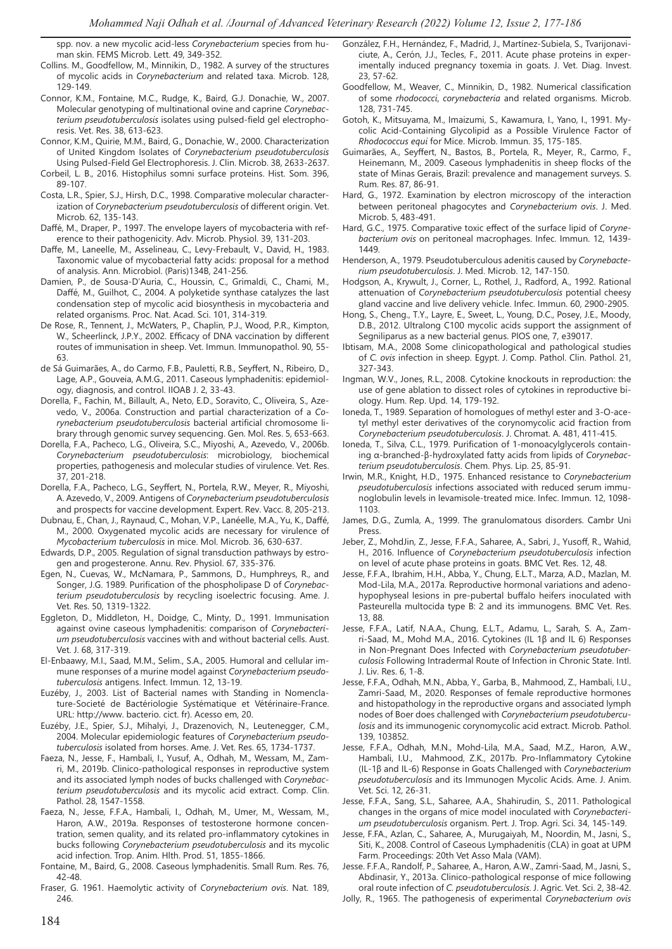spp. nov. a new mycolic acid-less *Corynebacterium* species from human skin. FEMS Microb. Lett. 49, 349-352.

- Collins. M., Goodfellow, M., Minnikin, D., 1982. A survey of the structures of mycolic acids in *Corynebacterium* and related taxa. Microb. 128, 129-149.
- Connor, K.M., Fontaine, M.C., Rudge, K., Baird, G.J. Donachie, W., 2007. Molecular genotyping of multinational ovine and caprine *Corynebacterium pseudotuberculosis* isolates using pulsed-field gel electrophoresis. Vet. Res. 38, 613-623.
- Connor, K.M., Quirie, M.M., Baird, G., Donachie, W., 2000. Characterization of United Kingdom Isolates of *Corynebacterium pseudotuberculosis* Using Pulsed-Field Gel Electrophoresis. J. Clin. Microb. 38, 2633-2637.
- Corbeil, L. B., 2016. Histophilus somni surface proteins. Hist. Som. 396, 89-107.
- Costa, L.R., Spier, S.J., Hirsh, D.C., 1998. Comparative molecular characterization of *Corynebacterium pseudotuberculosis* of different origin. Vet. Microb. 62, 135-143.
- Daffé, M., Draper, P., 1997. The envelope layers of mycobacteria with reference to their pathogenicity. Adv. Microb. Physiol. 39, 131-203.
- Daffe, M., Laneelle, M., Asselineau, C., Levy-Frebault, V., David, H., 1983. Taxonomic value of mycobacterial fatty acids: proposal for a method of analysis. Ann. Microbiol. (Paris)134B, 241-256.
- Damien, P., de Sousa-D'Auria, C., Houssin, C., Grimaldi, C., Chami, M., Daffé, M., Guilhot, C., 2004. A polyketide synthase catalyzes the last condensation step of mycolic acid biosynthesis in mycobacteria and related organisms. Proc. Nat. Acad. Sci. 101, 314-319.
- De Rose, R., Tennent, J., McWaters, P., Chaplin, P.J., Wood, P.R., Kimpton, W., Scheerlinck, J.P.Y., 2002. Efficacy of DNA vaccination by different routes of immunisation in sheep. Vet. Immun. Immunopathol. 90, 55- 63.
- de Sá Guimarães, A., do Carmo, F.B., Pauletti, R.B., Seyffert, N., Ribeiro, D., Lage, A.P., Gouveia, A.M.G., 2011. Caseous lymphadenitis: epidemiology, diagnosis, and control. IIOAB J. 2, 33-43.
- Dorella, F., Fachin, M., Billault, A., Neto, E.D., Soravito, C., Oliveira, S., Azevedo, V., 2006a. Construction and partial characterization of a *Corynebacterium pseudotuberculosis* bacterial artificial chromosome library through genomic survey sequencing. Gen. Mol. Res. 5, 653-663.
- Dorella, F.A., Pacheco, L.G., Oliveira, S.C., Miyoshi, A., Azevedo, V., 2006b. *Corynebacterium pseudotuberculosis*: microbiology, biochemical properties, pathogenesis and molecular studies of virulence. Vet. Res. 37, 201-218.
- Dorella, F.A., Pacheco, L.G., Seyffert, N., Portela, R.W., Meyer, R., Miyoshi, A. Azevedo, V., 2009. Antigens of *Corynebacterium pseudotuberculosis* and prospects for vaccine development. Expert. Rev. Vacc. 8, 205-213.
- Dubnau, E., Chan, J., Raynaud, C., Mohan, V.P., Lanéelle, M.A., Yu, K., Daffé, M., 2000. Oxygenated mycolic acids are necessary for virulence of *Mycobacterium tuberculosis* in mice. Mol. Microb. 36, 630-637.
- Edwards, D.P., 2005. Regulation of signal transduction pathways by estrogen and progesterone. Annu. Rev. Physiol. 67, 335-376.
- Egen, N., Cuevas, W., McNamara, P., Sammons, D., Humphreys, R., and Songer, J.G. 1989. Purification of the phospholipase D of *Corynebacterium pseudotuberculosis* by recycling isoelectric focusing. Ame. J. Vet. Res. 50, 1319-1322.
- Eggleton, D., Middleton, H., Doidge, C., Minty, D., 1991. Immunisation against ovine caseous lymphadenitis: comparison of *Corynebacterium pseudotuberculosis* vaccines with and without bacterial cells. Aust. Vet. J. 68, 317-319.
- El-Enbaawy, M.I., Saad, M.M., Selim., S.A., 2005. Humoral and cellular immune responses of a murine model against *Corynebacterium pseudotuberculosis* antigens. Infect. Immun. 12, 13-19.
- Euzéby, J., 2003. List of Bacterial names with Standing in Nomenclature-Societé de Bactériologie Systématique et Vétérinaire-France. URL: http://www. bacterio. cict. fr). Acesso em, 20.
- Euzéby, J.E., Spier, S.J., Mihalyi, J., Drazenovich, N., Leutenegger, C.M., 2004. Molecular epidemiologic features of *Corynebacterium pseudotuberculosis* isolated from horses. Ame. J. Vet. Res. 65, 1734-1737.
- Faeza, N., Jesse, F., Hambali, I., Yusuf, A., Odhah, M., Wessam, M., Zamri, M., 2019b. Clinico-pathological responses in reproductive system and its associated lymph nodes of bucks challenged with *Corynebacterium pseudotuberculosis* and its mycolic acid extract. Comp. Clin. Pathol. 28, 1547-1558.
- Faeza, N., Jesse, F.F.A., Hambali, I., Odhah, M., Umer, M., Wessam, M., Haron, A.W., 2019a. Responses of testosterone hormone concentration, semen quality, and its related pro-inflammatory cytokines in bucks following *Corynebacterium pseudotuberculosis* and its mycolic acid infection. Trop. Anim. Hlth. Prod. 51, 1855-1866.
- Fontaine, M., Baird, G., 2008. Caseous lymphadenitis. Small Rum. Res. 76, 42-48.
- Fraser, G. 1961. Haemolytic activity of *Corynebacterium ovis*. Nat. 189, 246.
- González, F.H., Hernández, F., Madrid, J., Martínez-Subiela, S., Tvarijonaviciute, A., Cerón, J.J., Tecles, F., 2011. Acute phase proteins in experimentally induced pregnancy toxemia in goats. J. Vet. Diag. Invest. 23, 57-62.
- Goodfellow, M., Weaver, C., Minnikin, D., 1982. Numerical classification of some *rhodococci*, *corynebacteria* and related organisms. Microb. 128, 731-745.
- Gotoh, K., Mitsuyama, M., Imaizumi, S., Kawamura, I., Yano, I., 1991. Mycolic Acid-Containing Glycolipid as a Possible Virulence Factor of *Rhodococcus equi* for Mice. Microb. Immun. 35, 175-185.
- Guimarães, A., Seyffert, N., Bastos, B., Portela, R., Meyer, R., Carmo, F., Heinemann, M., 2009. Caseous lymphadenitis in sheep flocks of the state of Minas Gerais, Brazil: prevalence and management surveys. S. Rum. Res. 87, 86-91.
- Hard, G., 1972. Examination by electron microscopy of the interaction between peritoneal phagocytes and *Corynebacterium ovis*. J. Med. Microb. 5, 483-491.
- Hard, G.C., 1975. Comparative toxic effect of the surface lipid of *Corynebacterium ovis* on peritoneal macrophages. Infec. Immun. 12, 1439- 1449.
- Henderson, A., 1979. Pseudotuberculous adenitis caused by *Corynebacterium pseudotuberculosis*. J. Med. Microb. 12, 147-150.
- Hodgson, A., Krywult, J., Corner, L., Rothel, J., Radford, A., 1992. Rational attenuation of *Corynebacterium pseudotuberculosis* potential cheesy gland vaccine and live delivery vehicle. Infec. Immun. 60, 2900-2905.
- Hong, S., Cheng., T.Y., Layre, E., Sweet, L., Young, D.C., Posey, J.E., Moody, D.B., 2012. Ultralong C100 mycolic acids support the assignment of Segniliparus as a new bacterial genus. PlOS one, 7, e39017.
- Ibtisam, M.A., 2008 Some clinicopathological and pathological studies of *C. ovis* infection in sheep. Egypt. J. Comp. Pathol. Clin. Pathol. 21, 327-343.
- Ingman, W.V., Jones, R.L., 2008. Cytokine knockouts in reproduction: the use of gene ablation to dissect roles of cytokines in reproductive biology. Hum. Rep. Upd. 14, 179-192.
- Ioneda, T., 1989. Separation of homologues of methyl ester and 3-O-acetyl methyl ester derivatives of the corynomycolic acid fraction from *Corynebacterium pseudotuberculosis*. J. Chromat. A. 481, 411-415.
- Ioneda, T., Silva, C.L., 1979. Purification of 1-monoacylglycerols containing α-branched-β-hydroxylated fatty acids from lipids of *Corynebacterium pseudotuberculosis*. Chem. Phys. Lip. 25, 85-91.
- Irwin, M.R., Knight, H.D., 1975. Enhanced resistance to *Corynebacterium pseudotuberculosis* infections associated with reduced serum immunoglobulin levels in levamisole-treated mice. Infec. Immun. 12, 1098- 1103.
- James, D.G., Zumla, A., 1999. The granulomatous disorders. Cambr Uni Press.
- Jeber, Z., MohdJin, Z., Jesse, F.F.A., Saharee, A., Sabri, J., Yusoff, R., Wahid, H., 2016. Influence of *Corynebacterium pseudotuberculosis* infection on level of acute phase proteins in goats. BMC Vet. Res. 12, 48.
- Jesse, F.F.A., Ibrahim, H.H., Abba, Y., Chung, E.L.T., Marza, A.D., Mazlan, M. Mod-Lila, M.A., 2017a. Reproductive hormonal variations and adenohypophyseal lesions in pre-pubertal buffalo heifers inoculated with Pasteurella multocida type B: 2 and its immunogens. BMC Vet. Res. 13, 88.
- Jesse, F.F.A., Latif, N.A.A., Chung, E.L.T., Adamu, L., Sarah, S. A., Zamri-Saad, M., Mohd M.A., 2016. Cytokines (IL 1β and IL 6) Responses in Non-Pregnant Does Infected with *Corynebacterium pseudotuberculosis* Following Intradermal Route of Infection in Chronic State. Intl. J. Liv. Res. 6, 1-8.
- Jesse, F.F.A., Odhah, M.N., Abba, Y., Garba, B., Mahmood, Z., Hambali, I.U., Zamri-Saad, M., 2020. Responses of female reproductive hormones and histopathology in the reproductive organs and associated lymph nodes of Boer does challenged with *Corynebacterium pseudotuberculosis* and its immunogenic corynomycolic acid extract. Microb. Pathol. 139, 103852.
- Jesse, F.F.A., Odhah, M.N., Mohd-Lila, M.A., Saad, M.Z., Haron, A.W., Hambali, I.U., Mahmood, Z.K., 2017b. Pro-Inflammatory Cytokine (IL-1β and IL-6) Response in Goats Challenged with *Corynebacterium pseudotuberculosis* and its Immunogen Mycolic Acids. Ame. J. Anim. Vet. Sci. 12, 26-31.
- Jesse, F.F.A., Sang, S.L., Saharee, A.A., Shahirudin, S., 2011. Pathological changes in the organs of mice model inoculated with *Corynebacterium pseudotuberculosis* organism. Pert. J. Trop. Agri. Sci. 34, 145-149.
- Jesse, F.FA., Azlan, C., Saharee, A., Murugaiyah, M., Noordin, M., Jasni, S., Siti, K., 2008. Control of Caseous Lymphadenitis (CLA) in goat at UPM Farm. Proceedings: 20th Vet Asso Mala (VAM).
- Jesse. F.F.A., Randolf, P., Saharee, A., Haron, A.W., Zamri-Saad, M., Jasni, S., Abdinasir, Y., 2013a. Clinico-pathological response of mice following
- oral route infection of *C. pseudotuberculosis*. J. Agric. Vet. Sci. 2, 38-42. Jolly, R., 1965. The pathogenesis of experimental *Corynebacterium ovis*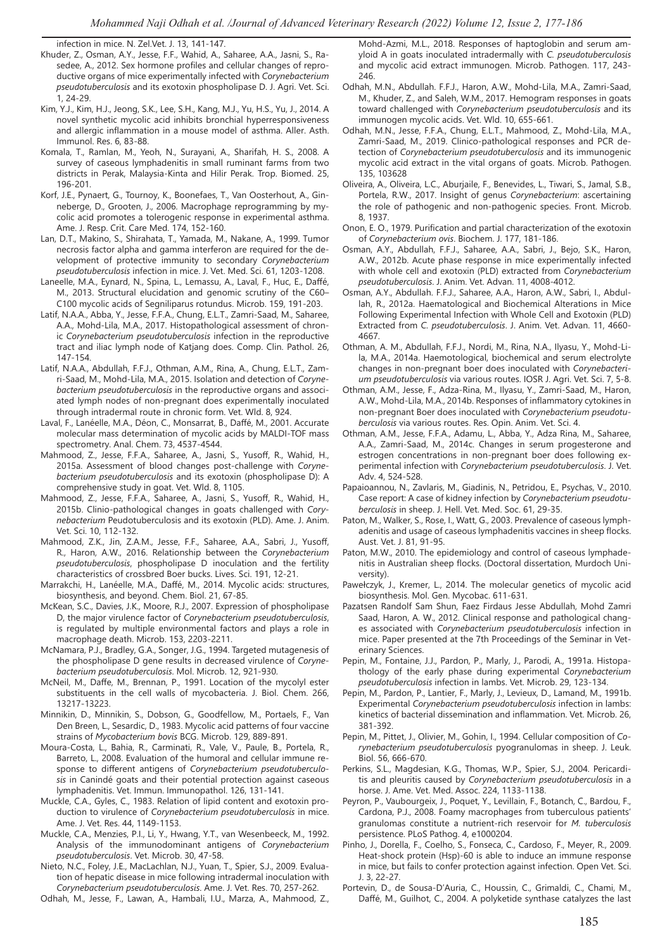infection in mice. N. Zel.Vet. J. 13, 141-147.

- Khuder, Z., Osman, A.Y., Jesse, F.F., Wahid, A., Saharee, A.A., Jasni, S., Rasedee, A., 2012. Sex hormone profiles and cellular changes of reproductive organs of mice experimentally infected with *Corynebacterium pseudotuberculosis* and its exotoxin phospholipase D. J. Agri. Vet. Sci. 1, 24-29.
- Kim, Y.J., Kim, H.J., Jeong, S.K., Lee, S.H., Kang, M.J., Yu, H.S., Yu, J., 2014. A novel synthetic mycolic acid inhibits bronchial hyperresponsiveness and allergic inflammation in a mouse model of asthma. Aller. Asth. Immunol. Res. 6, 83-88.
- Komala, T., Ramlan, M., Yeoh, N., Surayani, A., Sharifah, H. S., 2008. A survey of caseous lymphadenitis in small ruminant farms from two districts in Perak, Malaysia-Kinta and Hilir Perak. Trop. Biomed. 25, 196-201.
- Korf, J.E., Pynaert, G., Tournoy, K., Boonefaes, T., Van Oosterhout, A., Ginneberge, D., Grooten, J., 2006. Macrophage reprogramming by mycolic acid promotes a tolerogenic response in experimental asthma. Ame. J. Resp. Crit. Care Med. 174, 152-160.
- Lan, D.T., Makino, S., Shirahata, T., Yamada, M., Nakane, A., 1999. Tumor necrosis factor alpha and gamma interferon are required for the development of protective immunity to secondary *Corynebacterium pseudotuberculosis* infection in mice. J. Vet. Med. Sci. 61, 1203-1208.
- Laneelle, M.A., Eynard, N., Spina, L., Lemassu, A., Laval, F., Huc, E., Daffé, M., 2013. Structural elucidation and genomic scrutiny of the C60– C100 mycolic acids of Segniliparus rotundus. Microb. 159, 191-203.
- Latif, N.A.A., Abba, Y., Jesse, F.F.A., Chung, E.L.T., Zamri-Saad, M., Saharee, A.A., Mohd-Lila, M.A., 2017. Histopathological assessment of chronic *Corynebacterium pseudotuberculosis* infection in the reproductive tract and iliac lymph node of Katjang does. Comp. Clin. Pathol. 26, 147-154.
- Latif, N.A.A., Abdullah, F.F.J., Othman, A.M., Rina, A., Chung, E.L.T., Zamri-Saad, M., Mohd-Lila, M.A., 2015. Isolation and detection of *Corynebacterium pseudotuberculosis* in the reproductive organs and associated lymph nodes of non-pregnant does experimentally inoculated through intradermal route in chronic form. Vet. Wld. 8, 924.
- Laval, F., Lanéelle, M.A., Déon, C., Monsarrat, B., Daffé, M., 2001. Accurate molecular mass determination of mycolic acids by MALDI-TOF mass spectrometry. Anal. Chem. 73, 4537-4544.
- Mahmood, Z., Jesse, F.F.A., Saharee, A., Jasni, S., Yusoff, R., Wahid, H., 2015a. Assessment of blood changes post-challenge with *Corynebacterium pseudotuberculosis* and its exotoxin (phospholipase D): A comprehensive study in goat. Vet. Wld. 8, 1105.
- Mahmood, Z., Jesse, F.F.A., Saharee, A., Jasni, S., Yusoff, R., Wahid, H., 2015b. Clinio-pathological changes in goats challenged with *Corynebacterium* Peudotuberculosis and its exotoxin (PLD). Ame. J. Anim. Vet. Sci. 10, 112-132.
- Mahmood, Z.K., Jin, Z.A.M., Jesse, F.F., Saharee, A.A., Sabri, J., Yusoff, R., Haron, A.W., 2016. Relationship between the *Corynebacterium pseudotuberculosis*, phospholipase D inoculation and the fertility characteristics of crossbred Boer bucks. Lives. Sci. 191, 12-21.
- Marrakchi, H., Lanéelle, M.A., Daffé, M., 2014. Mycolic acids: structures, biosynthesis, and beyond. Chem. Biol. 21, 67-85.
- McKean, S.C., Davies, J.K., Moore, R.J., 2007. Expression of phospholipase D, the major virulence factor of *Corynebacterium pseudotuberculosis*, is regulated by multiple environmental factors and plays a role in macrophage death. Microb. 153, 2203-2211.
- McNamara, P.J., Bradley, G.A., Songer, J.G., 1994. Targeted mutagenesis of the phospholipase D gene results in decreased virulence of *Corynebacterium pseudotuberculosis*. Mol. Microb. 12, 921-930.
- McNeil, M., Daffe, M., Brennan, P., 1991. Location of the mycolyl ester substituents in the cell walls of mycobacteria. J. Biol. Chem. 266, 13217-13223.
- Minnikin, D., Minnikin, S., Dobson, G., Goodfellow, M., Portaels, F., Van Den Breen, L., Sesardic, D., 1983. Mycolic acid patterns of four vaccine strains of *Mycobacterium bovis* BCG. Microb. 129, 889-891.
- Moura-Costa, L., Bahia, R., Carminati, R., Vale, V., Paule, B., Portela, R., Barreto, L., 2008. Evaluation of the humoral and cellular immune response to different antigens of *Corynebacterium pseudotuberculosis* in Canindé goats and their potential protection against caseous lymphadenitis. Vet. Immun. Immunopathol. 126, 131-141.
- Muckle, C.A., Gyles, C., 1983. Relation of lipid content and exotoxin production to virulence of *Corynebacterium pseudotuberculosis* in mice. Ame. J. Vet. Res. 44, 1149-1153.
- Muckle, C.A., Menzies, P.I., Li, Y., Hwang, Y.T., van Wesenbeeck, M., 1992. Analysis of the immunodominant antigens of *Corynebacterium pseudotuberculosis*. Vet. Microb. 30, 47-58.
- Nieto, N.C., Foley, J.E., MacLachlan, N.J., Yuan, T., Spier, S.J., 2009. Evaluation of hepatic disease in mice following intradermal inoculation with *Corynebacterium pseudotuberculosis*. Ame. J. Vet. Res. 70, 257-262.
- Odhah, M., Jesse, F., Lawan, A., Hambali, I.U., Marza, A., Mahmood, Z.,

Mohd-Azmi, M.L., 2018. Responses of haptoglobin and serum amyloid A in goats inoculated intradermally with *C. pseudotuberculosis* and mycolic acid extract immunogen. Microb. Pathogen. 117, 243- 246.

- Odhah, M.N., Abdullah. F.F.J., Haron, A.W., Mohd-Lila, M.A., Zamri-Saad, M., Khuder, Z., and Saleh, W.M., 2017. Hemogram responses in goats toward challenged with *Corynebacterium pseudotuberculosis* and its immunogen mycolic acids. Vet. Wld. 10, 655-661.
- Odhah, M.N., Jesse, F.F.A., Chung, E.L.T., Mahmood, Z., Mohd-Lila, M.A., Zamri-Saad, M., 2019. Clinico-pathological responses and PCR detection of *Corynebacterium pseudotuberculosis* and its immunogenic mycolic acid extract in the vital organs of goats. Microb. Pathogen. 135, 103628
- Oliveira, A., Oliveira, L.C., Aburjaile, F., Benevides, L., Tiwari, S., Jamal, S.B., Portela, R.W., 2017. Insight of genus *Corynebacterium*: ascertaining the role of pathogenic and non-pathogenic species. Front. Microb. 8, 1937.
- Onon, E. O., 1979. Purification and partial characterization of the exotoxin of *Corynebacterium ovis*. Biochem. J. 177, 181-186.
- Osman, A.Y., Abdullah, F.F.J., Saharee, A.A., Sabri, J., Bejo, S.K., Haron, A.W., 2012b. Acute phase response in mice experimentally infected with whole cell and exotoxin (PLD) extracted from *Corynebacterium pseudotuberculosis*. J. Anim. Vet. Advan. 11, 4008-4012.
- Osman, A.Y., Abdullah. F.F.J., Saharee, A.A., Haron, A.W., Sabri, I., Abdullah, R., 2012a. Haematological and Biochemical Alterations in Mice Following Experimental Infection with Whole Cell and Exotoxin (PLD) Extracted from *C. pseudotuberculosis*. J. Anim. Vet. Advan. 11, 4660- 4667.
- Othman, A. M., Abdullah, F.F.J., Nordi, M., Rina, N.A., Ilyasu, Y., Mohd-Lila, M.A., 2014a. Haemotological, biochemical and serum electrolyte changes in non-pregnant boer does inoculated with *Corynebacterium pseudotuberculosis* via various routes. IOSR J. Agri. Vet. Sci. 7, 5-8.
- Othman, A.M., Jesse, F., Adza-Rina, M., Ilyasu, Y., Zamri-Saad, M., Haron, A.W., Mohd-Lila, M.A., 2014b. Responses of inflammatory cytokines in non-pregnant Boer does inoculated with *Corynebacterium pseudotuberculosis* via various routes. Res. Opin. Anim. Vet. Sci. 4.
- Othman, A.M., Jesse, F.F.A., Adamu, L., Abba, Y., Adza Rina, M., Saharee, A.A., Zamri-Saad, M., 2014c. Changes in serum progesterone and estrogen concentrations in non-pregnant boer does following experimental infection with *Corynebacterium pseudotuberculosis*. J. Vet. Adv. 4, 524-528.
- Papaioannou, N., Zavlaris, M., Giadinis, N., Petridou, E., Psychas, V., 2010. Case report: A case of kidney infection by *Corynebacterium pseudotuberculosis* in sheep. J. Hell. Vet. Med. Soc. 61, 29-35.
- Paton, M., Walker, S., Rose, I., Watt, G., 2003. Prevalence of caseous lymphadenitis and usage of caseous lymphadenitis vaccines in sheep flocks. Aust. Vet. J. 81, 91-95.
- Paton, M.W., 2010. The epidemiology and control of caseous lymphadenitis in Australian sheep flocks. (Doctoral dissertation, Murdoch University).
- Pawełczyk, J., Kremer, L., 2014. The molecular genetics of mycolic acid biosynthesis. Mol. Gen. Mycobac. 611-631.
- Pazatsen Randolf Sam Shun, Faez Firdaus Jesse Abdullah, Mohd Zamri Saad, Haron, A. W., 2012. Clinical response and pathological changes associated with *Corynebacterium pseudotuberculosis* infection in mice. Paper presented at the 7th Proceedings of the Seminar in Veterinary Sciences.
- Pepin, M., Fontaine, J.J., Pardon, P., Marly, J., Parodi, A., 1991a. Histopathology of the early phase during experimental *Corynebacterium pseudotuberculosis* infection in lambs. Vet. Microb. 29, 123-134.
- Pepin, M., Pardon, P., Lantier, F., Marly, J., Levieux, D., Lamand, M., 1991b. Experimental *Corynebacterium pseudotuberculosis* infection in lambs: kinetics of bacterial dissemination and inflammation. Vet. Microb. 26, 381-392.
- Pepin, M., Pittet, J., Olivier, M., Gohin, I., 1994. Cellular composition of *Corynebacterium pseudotuberculosis* pyogranulomas in sheep. J. Leuk. Biol. 56, 666-670.
- Perkins, S.L., Magdesian, K.G., Thomas, W.P., Spier, S.J., 2004. Pericarditis and pleuritis caused by *Corynebacterium pseudotuberculosis* in a horse. J. Ame. Vet. Med. Assoc. 224, 1133-1138.
- Peyron, P., Vaubourgeix, J., Poquet, Y., Levillain, F., Botanch, C., Bardou, F., Cardona, P.J., 2008. Foamy macrophages from tuberculous patients' granulomas constitute a nutrient-rich reservoir for *M. tuberculosis* persistence. PLoS Pathog. 4, e1000204.
- Pinho, J., Dorella, F., Coelho, S., Fonseca, C., Cardoso, F., Meyer, R., 2009. Heat-shock protein (Hsp)-60 is able to induce an immune response in mice, but fails to confer protection against infection. Open Vet. Sci. J. 3, 22-27.
- Portevin, D., de Sousa-D'Auria, C., Houssin, C., Grimaldi, C., Chami, M., Daffé, M., Guilhot, C., 2004. A polyketide synthase catalyzes the last